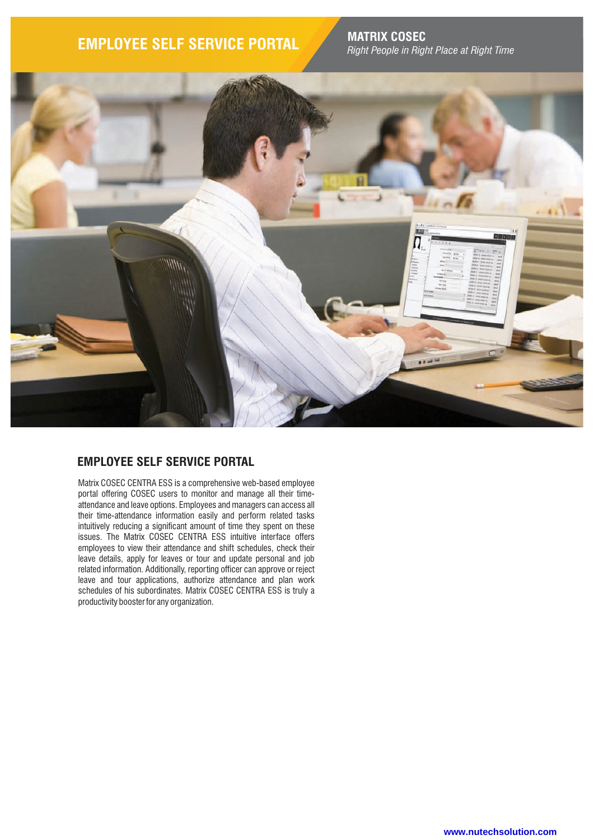# **EMPLOYEE SELF SERVICE PORTAL MATRIX COSEC**

*Right People in Right Place at Right Time*



### **EMPLOYEE SELF SERVICE PORTAL**

Matrix COSEC CENTRA ESS is a comprehensive web-based employee portal offering COSEC users to monitor and manage all their timeattendance and leave options. Employees and managers can access all their time-attendance information easily and perform related tasks intuitively reducing a significant amount of time they spent on these issues. The Matrix COSEC CENTRA ESS intuitive interface offers employees to view their attendance and shift schedules, check their leave details, apply for leaves or tour and update personal and job related information. Additionally, reporting officer can approve or reject leave and tour applications, authorize attendance and plan work schedules of his subordinates. Matrix COSEC CENTRA ESS is truly a productivity booster for any organization.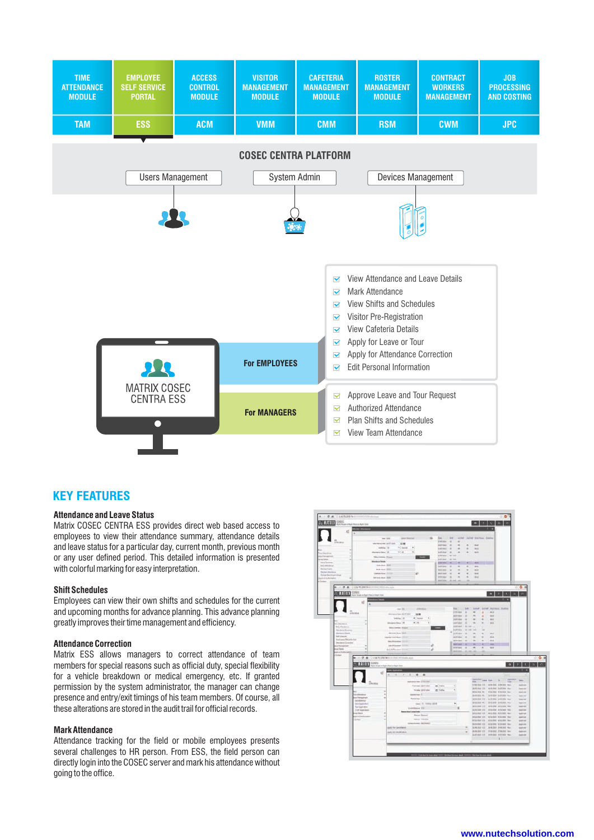

### **KEY FEATURES**

### **Attendance and Leave Status**

Matrix COSEC CENTRA ESS provides direct web based access to employees to view their attendance summary, attendance details and leave status for a particular day, current month, previous month or any user defined period. This detailed information is presented with colorful marking for easy interpretation.

#### **Shift Schedules**

Employees can view their own shifts and schedules for the current and upcoming months for advance planning. This advance planning greatly improves their time management and efficiency.

#### **Attendance Correction**

Matrix ESS allows managers to correct attendance of team members for special reasons such as official duty, special flexibility for a vehicle breakdown or medical emergency, etc. If granted permission by the system administrator, the manager can change presence and entry/exit timings of his team members. Of course, all these alterations are stored in the audit trail for official records.

#### **Mark Attendance**

Attendance tracking for the field or mobile employees presents several challenges to HR person. From ESS, the field person can directly login into the COSEC server and mark his attendance without going to the office.

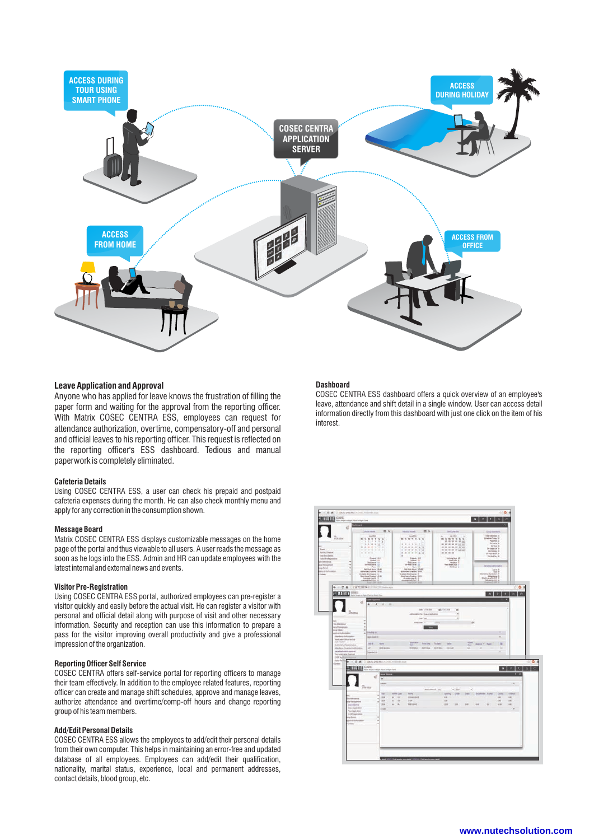

#### **Leave Application and Approval**

Anyone who has applied for leave knows the frustration of filling the paper form and waiting for the approval from the reporting officer. With Matrix COSEC CENTRA ESS, employees can request for attendance authorization, overtime, compensatory-off and personal and official leaves to his reporting officer. This request is reflected on the reporting officer's ESS dashboard. Tedious and manual paperwork is completely eliminated.

#### **Cafeteria Details**

Using COSEC CENTRA ESS, a user can check his prepaid and postpaid cafeteria expenses during the month. He can also check monthly menu and apply for any correction in the consumption shown.

#### **Message Board**

Matrix COSEC CENTRA ESS displays customizable messages on the home page of the portal and thus viewable to all users. A user reads the message as soon as he logs into the ESS. Admin and HR can update employees with the latest internal and external news and events.

#### **Visitor Pre-Registration**

Using COSEC CENTRA ESS portal, authorized employees can pre-register a visitor quickly and easily before the actual visit. He can register a visitor with personal and official detail along with purpose of visit and other necessary information. Security and reception can use this information to prepare a pass for the visitor improving overall productivity and give a professional impression of the organization.

#### **Reporting Officer Self Service**

COSEC CENTRA offers self-service portal for reporting officers to manage their team effectively. In addition to the employee related features, reporting officer can create and manage shift schedules, approve and manage leaves, authorize attendance and overtime/comp-off hours and change reporting group of his team members.

#### **Add/Edit Personal Details**

COSEC CENTRA ESS allows the employees to add/edit their personal details from their own computer. This helps in maintaining an error-free and updated database of all employees. Employees can add/edit their qualification, nationality, marital status, experience, local and permanent addresses, contact details, blood group, etc.

#### **Dashboard**

COSEC CENTRA ESS dashboard offers a quick overview of an employee's leave, attendance and shift detail in a single window. User can access detail information directly from this dashboard with just one click on the item of his interest.